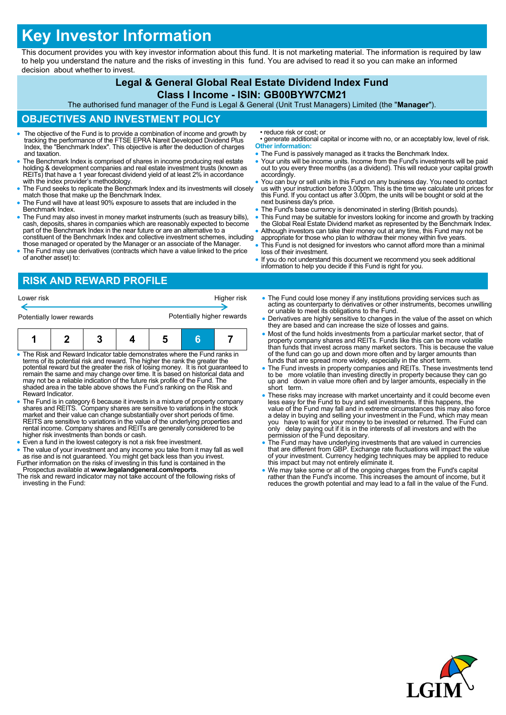# **Key Investor Information**

This document provides you with key investor information about this fund. It is not marketing material. The information is required by law to help you understand the nature and the risks of investing in this fund. You are advised to read it so you can make an informed decision about whether to invest.

#### **Legal & General Global Real Estate Dividend Index Fund Class I Income - ISIN: GB00BYW7CM21** The authorised fund manager of the Fund is Legal & General (Unit Trust Managers) Limited (the "**Manager**"). **OBJECTIVES AND INVESTMENT POLICY** The objective of the Fund is to provide a combination of income and growth by tracking the performance of the FTSE EPRA Nareit Developed Dividend Plus Index, the "Benchmark Index". This objective is after the deduction of charges and taxation. The Benchmark Index is comprised of shares in income producing real estate holding & development companies and real estate investment trusts (known as REITs) that have a 1 year forecast dividend yield of at least 2% in accordance with the index provider's methodology. The Fund seeks to replicate the Benchmark Index and its investments will closely match those that make up the Benchmark Index. The Fund will have at least 90% exposure to assets that are included in the Benchmark Index. The Fund may also invest in money market instruments (such as treasury bills), cash, deposits, shares in companies which are reasonably expected to become part of the Benchmark Index in the near future or are an alternative to a constituent of the Benchmark Index and collective investment schemes, including those managed or operated by the Manager or an associate of the Manager. The Fund may use derivatives (contracts which have a value linked to the price of another asset) to: • reduce risk or cost; or • generate additional capital or income with no, or an acceptably low, level of risk. **Other information:** • The Fund is passively managed as it tracks the Benchmark Index. Your units will be income units. Income from the Fund's investments will be paid out to you every three months (as a dividend). This will reduce your capital growth accordingly. You can buy or sell units in this Fund on any business day. You need to contact us with your instruction before 3.00pm. This is the time we calculate unit prices for this Fund. If you contact us after 3.00pm, the units will be bought or sold at the next business day's price. The Fund's base currency is denominated in sterling (British pounds). This Fund may be suitable for investors looking for income and growth by tracking the Global Real Estate Dividend market as represented by the Benchmark Index. Although investors can take their money out at any time, this Fund may not be appropriate for those who plan to withdraw their money within five years. This Fund is not designed for investors who cannot afford more than a minimal loss of their investment. If you do not understand this document we recommend you seek additional information to help you decide if this Fund is right for you.

## **RISK AND REWARD PROFILE**





- The Risk and Reward Indicator table demonstrates where the Fund ranks in terms of its potential risk and reward. The higher the rank the greater the potential reward but the greater the risk of losing money. It is not guaranteed to remain the same and may change over time. It is based on historical data and may not be a reliable indication of the future risk profile of the Fund. The shaded area in the table above shows the Fund's ranking on the Risk and Reward Indicator.
- The Fund is in category 6 because it invests in a mixture of property company shares and REITS. Company shares are sensitive to variations in the stock market and their value can change substantially over short periods o REITS are sensitive to variations in the value of the underlying properties and rental income. Company shares and REITs are generally considered to be higher risk investments than bonds or cash.
- Even a fund in the lowest category is not a risk free investment.
- The value of your investment and any income you take from it may fall as well
- as rise and is not guaranteed. You might get back less than you invest.<br>Further information on the risks of investing in this fund is contained in the<br>Prospectus available at www.legalandgeneral.com/reports.<br>The risk and r
- investing in the Fund:
- The Fund could lose money if any institutions providing services such as acting as counterparty to derivatives or other instruments, becomes unwilling or unable to meet its obligations to the Fund.
- Derivatives are highly sensitive to changes in the value of the asset on which they are based and can increase the size of losses and gains.
- Most of the fund holds investments from a particular market sector, that of property company shares and REITs. Funds like this can be more volatile than funds that invest across many market sectors. This is because the value of the fund can go up and down more often and by larger amounts than funds that are spread more widely, especially in the short term.
- The Fund invests in property companies and REITs. These investments tend to be more volatile than investing directly in property because they can go up and down in value more often and by larger amounts, especially in the short term.
- These risks may increase with market uncertainty and it could become even less easy for the Fund to buy and sell investments. If this happens, the value of the Fund may fall and in extreme circumstances this may also force<br>a delay in buying and selling your investment in the Fund, which may mean<br>you have to wait for your money to be invested or returned. The Fund c only delay paying out if it is in the interests of all investors and with the permission of the Fund depositary.
- The Fund may have underlying investments that are valued in currencies that are different from GBP. Exchange rate fluctuations will impact the value of your investment. Currency hedging techniques may be applied to reduce this impact but may not entirely eliminate it.
- We may take some or all of the ongoing charges from the Fund's capital rather than the Fund's income. This increases the amount of income, but it reduces the growth potential and may lead to a fall in the value of the Fund.